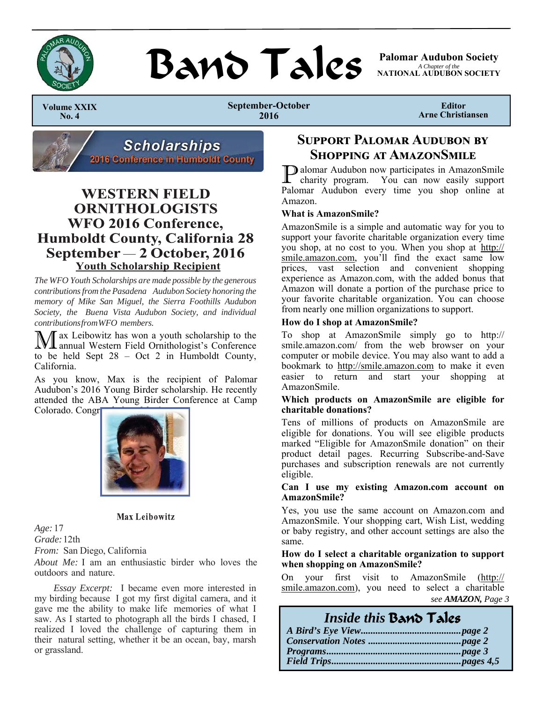

## Band Tales

**Palomar Audubon Society**  *A Chapter of the*  **NATIONAL AUDUBON SOCIETY** 

 **Volume XXIX No. 4** 

**September-October 2016** 

**Editor Arne Christiansen** 



## **WESTERN FIELD ORNITHOLOGISTS WFO 2016 Conference, Humboldt County, California 28** September - 2 October, 2016 **Youth Scholarship Recipient**

*The WFO Youth Scholarships are made possible by the generous contributions from the Pasadena Audubon Society honoring the memory of Mike San Miguel, the Sierra Foothills Audubon Society, the Buena Vista Audubon Society, and individual contributions from WFO members.* 

ax Leibowitz has won a youth scholarship to the annual Western Field Ornithologist's Conference to be held Sept 28 – Oct 2 in Humboldt County, California.

As you know, Max is the recipient of Palomar Audubon's 2016 Young Birder scholarship. He recently attended the ABA Young Birder Conference at Camp Colorado. Congr



#### **Max Leibowitz**

*Age:* 17 *Grade:* 12th *From:* San Diego, California

*About Me:* I am an enthusiastic birder who loves the outdoors and nature.

*Essay Excerpt:* I became even more interested in my birding because I got my first digital camera, and it gave me the ability to make life memories of what I saw. As I started to photograph all the birds I chased, I realized I loved the challenge of capturing them in their natural setting, whether it be an ocean, bay, marsh or grassland.

## **SUPPORT PALOMAR AUDUBON BY SHOPPING AT AMAZONSMILE**

P alomar Audubon now participates in AmazonSmile charity program. You can now easily support Palomar Audubon every time you shop online at Amazon.

#### **What is AmazonSmile?**

AmazonSmile is a simple and automatic way for you to support your favorite charitable organization every time you shop, at no cost to you. When you shop at http:// smile.amazon.com, you'll find the exact same low prices, vast selection and convenient shopping experience as Amazon.com, with the added bonus that Amazon will donate a portion of the purchase price to your favorite charitable organization. You can choose from nearly one million organizations to support.

#### **How do I shop at AmazonSmile?**

To shop at AmazonSmile simply go to http:// smile.amazon.com/ from the web browser on your computer or mobile device. You may also want to add a bookmark to http://smile.amazon.com to make it even easier to return and start your shopping at AmazonSmile.

#### **Which products on AmazonSmile are eligible for charitable donations?**

Tens of millions of products on AmazonSmile are eligible for donations. You will see eligible products marked "Eligible for AmazonSmile donation" on their product detail pages. Recurring Subscribe-and-Save purchases and subscription renewals are not currently eligible.

#### **Can I use my existing Amazon.com account on AmazonSmile?**

Yes, you use the same account on Amazon.com and AmazonSmile. Your shopping cart, Wish List, wedding or baby registry, and other account settings are also the same.

#### **How do I select a charitable organization to support when shopping on AmazonSmile?**

On your first visit to AmazonSmile (http:// smile.amazon.com), you need to select a charitable *see AMAZON, Page 3* 

| Inside this Band Tales |  |
|------------------------|--|
|                        |  |
|                        |  |
|                        |  |
|                        |  |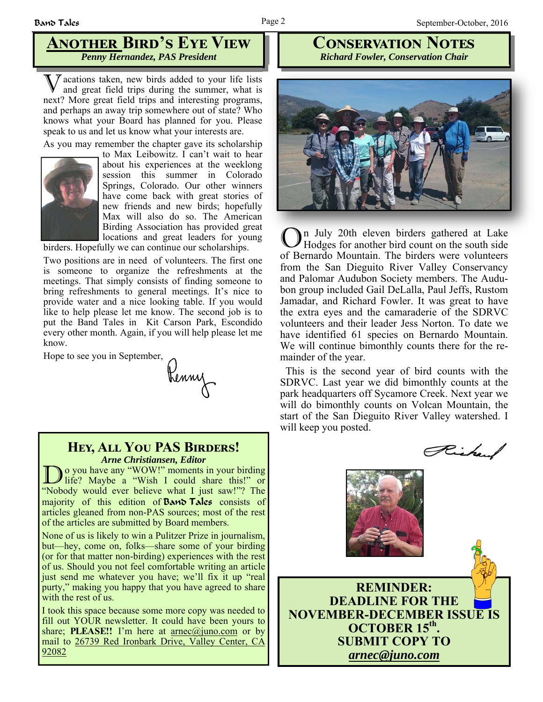## **ANOTHER BIRD'S EYE VIEW** *Penny Hernandez, PAS President*

V acations taken, new birds added to your life lists and great field trips during the summer, what is next? More great field trips and interesting programs, and perhaps an away trip somewhere out of state? Who knows what your Board has planned for you. Please speak to us and let us know what your interests are.

As you may remember the chapter gave its scholarship



to Max Leibowitz. I can't wait to hear about his experiences at the weeklong session this summer in Colorado Springs, Colorado. Our other winners have come back with great stories of new friends and new birds; hopefully Max will also do so. The American Birding Association has provided great locations and great leaders for young

birders. Hopefully we can continue our scholarships.

Two positions are in need of volunteers. The first one is someone to organize the refreshments at the meetings. That simply consists of finding someone to bring refreshments to general meetings. It's nice to provide water and a nice looking table. If you would like to help please let me know. The second job is to put the Band Tales in Kit Carson Park, Escondido every other month. Again, if you will help please let me know.

# Hope to see you in September,<br>Renny

### **HEY, ALL YOU PAS BIRDERS!** *Arne Christiansen, Editor*

Do you have any "WOW!" moments in your birding<br>life? Maybe a "Wish I could share this!" or "Nobody would ever believe what I just saw!"? The majority of this edition of **Band Tales** consists of articles gleaned from non-PAS sources; most of the rest of the articles are submitted by Board members.

None of us is likely to win a Pulitzer Prize in journalism, but—hey, come on, folks—share some of your birding (or for that matter non-birding) experiences with the rest of us. Should you not feel comfortable writing an article just send me whatever you have; we'll fix it up "real purty," making you happy that you have agreed to share with the rest of us.

I took this space because some more copy was needed to fill out YOUR newsletter. It could have been yours to share; **PLEASE!!** I'm here at arnec@juno.com or by mail to 26739 Red Ironbark Drive, Valley Center, CA 92082

## **CONSERVATION NOTES** *Richard Fowler, Conservation Chair*



In July 20th eleven birders gathered at Lake Hodges for another bird count on the south side of Bernardo Mountain. The birders were volunteers from the San Dieguito River Valley Conservancy and Palomar Audubon Society members. The Audubon group included Gail DeLalla, Paul Jeffs, Rustom Jamadar, and Richard Fowler. It was great to have the extra eyes and the camaraderie of the SDRVC volunteers and their leader Jess Norton. To date we have identified 61 species on Bernardo Mountain. We will continue bimonthly counts there for the remainder of the year.

 This is the second year of bird counts with the SDRVC. Last year we did bimonthly counts at the park headquarters off Sycamore Creek. Next year we will do bimonthly counts on Volcan Mountain, the start of the San Dieguito River Valley watershed. I will keep you posted.

Richard

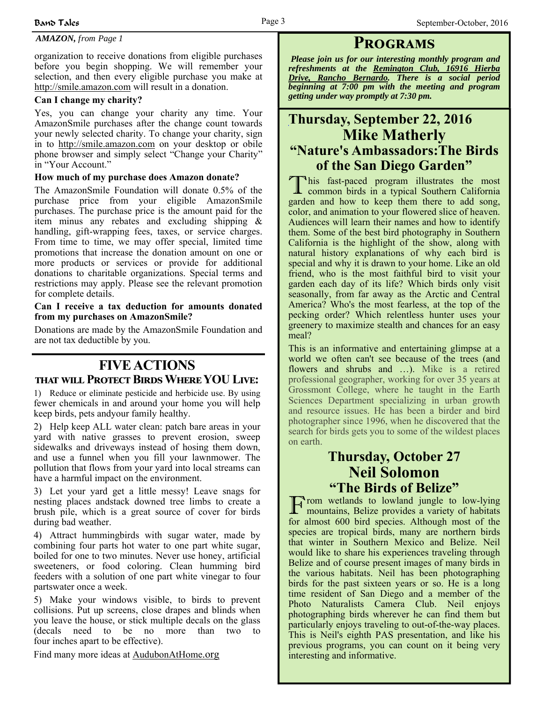## *AMAZON, from Page 1* **PROGRAMS**

organization to receive donations from eligible purchases before you begin shopping. We will remember your selection, and then every eligible purchase you make at http://smile.amazon.com will result in a donation.

#### **Can I change my charity?**

Yes, you can change your charity any time. Your AmazonSmile purchases after the change count towards your newly selected charity. To change your charity, sign in to http://smile.amazon.com on your desktop or obile phone browser and simply select "Change your Charity" in "Your Account."

#### **How much of my purchase does Amazon donate?**

The AmazonSmile Foundation will donate 0.5% of the purchase price from your eligible AmazonSmile purchases. The purchase price is the amount paid for the item minus any rebates and excluding shipping & handling, gift-wrapping fees, taxes, or service charges. From time to time, we may offer special, limited time promotions that increase the donation amount on one or more products or services or provide for additional donations to charitable organizations. Special terms and restrictions may apply. Please see the relevant promotion for complete details.

#### **Can I receive a tax deduction for amounts donated from my purchases on AmazonSmile?**

Donations are made by the AmazonSmile Foundation and are not tax deductible by you.

## **FIVE ACTIONS**  THAT WILL PROTECT BIRDS WHERE YOU LIVE:

1) Reduce or eliminate pesticide and herbicide use. By using fewer chemicals in and around your home you will help keep birds, pets andyour family healthy.

2) Help keep ALL water clean: patch bare areas in your yard with native grasses to prevent erosion, sweep sidewalks and driveways instead of hosing them down, and use a funnel when you fill your lawnmower. The pollution that flows from your yard into local streams can have a harmful impact on the environment.

3) Let your yard get a little messy! Leave snags for nesting places andstack downed tree limbs to create a brush pile, which is a great source of cover for birds during bad weather.

4) Attract hummingbirds with sugar water, made by combining four parts hot water to one part white sugar, boiled for one to two minutes. Never use honey, artificial sweeteners, or food coloring. Clean humming bird feeders with a solution of one part white vinegar to four partswater once a week.

5) Make your windows visible, to birds to prevent collisions. Put up screens, close drapes and blinds when you leave the house, or stick multiple decals on the glass (decals need to be no more than two to four inches apart to be effective).

Find many more ideas at AudubonAtHome.org

*Please join us for our interesting monthly program and refreshments at the Remington Club, 16916 Hierba Drive, Rancho Bernardo. There is a social period beginning at 7:00 pm with the meeting and program getting under way promptly at 7:30 pm.*

## **Thursday, September 22, 2016 Mike Matherly "Nature's Ambassadors:The Birds of the San Diego Garden"**

T his fast-paced program illustrates the most common birds in a typical Southern California garden and how to keep them there to add song, color, and animation to your flowered slice of heaven. Audiences will learn their names and how to identify them. Some of the best bird photography in Southern California is the highlight of the show, along with natural history explanations of why each bird is special and why it is drawn to your home. Like an old friend, who is the most faithful bird to visit your garden each day of its life? Which birds only visit seasonally, from far away as the Arctic and Central America? Who's the most fearless, at the top of the pecking order? Which relentless hunter uses your greenery to maximize stealth and chances for an easy meal?

This is an informative and entertaining glimpse at a world we often can't see because of the trees (and flowers and shrubs and …). Mike is a retired professional geographer, working for over 35 years at Grossmont College, where he taught in the Earth Sciences Department specializing in urban growth and resource issues. He has been a birder and bird photographer since 1996, when he discovered that the search for birds gets you to some of the wildest places on earth.

## **Thursday, October 27 Neil Solomon "The Birds of Belize"**

F rom wetlands to lowland jungle to low-lying mountains, Belize provides a variety of habitats for almost 600 bird species. Although most of the species are tropical birds, many are northern birds that winter in Southern Mexico and Belize. Neil would like to share his experiences traveling through Belize and of course present images of many birds in the various habitats. Neil has been photographing birds for the past sixteen years or so. He is a long time resident of San Diego and a member of the Photo Naturalists Camera Club. Neil enjoys photographing birds wherever he can find them but particularly enjoys traveling to out-of-the-way places. This is Neil's eighth PAS presentation, and like his previous programs, you can count on it being very interesting and informative.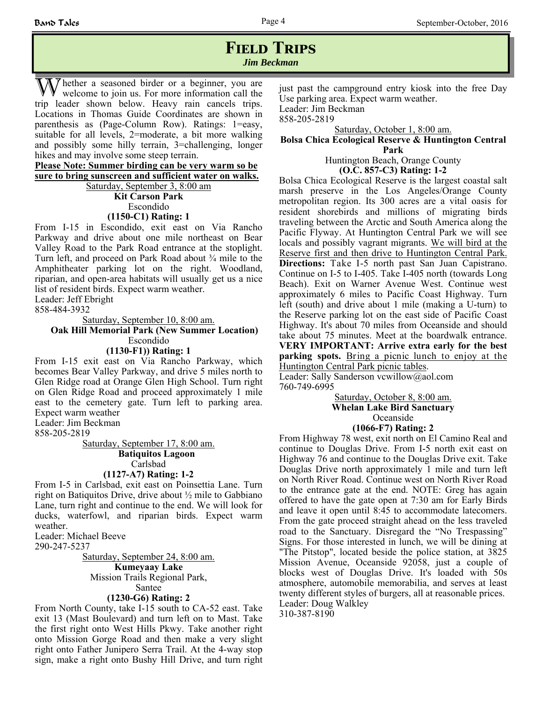## **FIELD TRIPS** *Jim Beckman*

The ther a seasoned birder or a beginner, you are welcome to join us. For more information call the trip leader shown below. Heavy rain cancels trips. Locations in Thomas Guide Coordinates are shown in parenthesis as (Page-Column Row). Ratings: 1=easy, suitable for all levels, 2=moderate, a bit more walking and possibly some hilly terrain, 3=challenging, longer hikes and may involve some steep terrain.

**Please Note: Summer birding can be very warm so be sure to bring sunscreen and sufficient water on walks.**

Saturday, September 3, 8:00 am **Kit Carson Park** Escondido **(1150-C1) Rating: 1**

From I-15 in Escondido, exit east on Via Rancho Parkway and drive about one mile northeast on Bear Valley Road to the Park Road entrance at the stoplight. Turn left, and proceed on Park Road about ¾ mile to the Amphitheater parking lot on the right. Woodland, riparian, and open-area habitats will usually get us a nice list of resident birds. Expect warm weather.

Leader: Jeff Ebright

858-484-3932

Saturday, September 10, 8:00 am.

 **Oak Hill Memorial Park (New Summer Location)**  Escondido

**(1130-F1)) Rating: 1**

From I-15 exit east on Via Rancho Parkway, which becomes Bear Valley Parkway, and drive 5 miles north to Glen Ridge road at Orange Glen High School. Turn right on Glen Ridge Road and proceed approximately 1 mile east to the cemetery gate. Turn left to parking area. Expect warm weather

Leader: Jim Beckman

858-205-2819

Saturday, September 17, 8:00 am.  **Batiquitos Lagoon**  Carlsbad **(1127-A7) Rating: 1-2**

From I-5 in Carlsbad, exit east on Poinsettia Lane. Turn right on Batiquitos Drive, drive about ½ mile to Gabbiano Lane, turn right and continue to the end. We will look for ducks, waterfowl, and riparian birds. Expect warm weather.

Leader: Michael Beeve

290-247-5237

Saturday, September 24, 8:00 am. **Kumeyaay Lake**  Mission Trails Regional Park, Santee

#### **(1230-G6) Rating: 2**

From North County, take I-15 south to CA-52 east. Take exit 13 (Mast Boulevard) and turn left on to Mast. Take the first right onto West Hills Pkwy. Take another right onto Mission Gorge Road and then make a very slight right onto Father Junipero Serra Trail. At the 4-way stop sign, make a right onto Bushy Hill Drive, and turn right just past the campground entry kiosk into the free Day Use parking area. Expect warm weather. Leader: Jim Beckman 858-205-2819

Saturday, October 1, 8:00 am.

#### **Bolsa Chica Ecological Reserve & Huntington Central Park**

Huntington Beach, Orange County **(O.C. 857-C3) Rating: 1-2**

Bolsa Chica Ecological Reserve is the largest coastal salt marsh preserve in the Los Angeles/Orange County metropolitan region. Its 300 acres are a vital oasis for resident shorebirds and millions of migrating birds traveling between the Arctic and South America along the Pacific Flyway. At Huntington Central Park we will see locals and possibly vagrant migrants. We will bird at the Reserve first and then drive to Huntington Central Park. **Directions:** Take I-5 north past San Juan Capistrano. Continue on I-5 to I-405. Take I-405 north (towards Long Beach). Exit on Warner Avenue West. Continue west approximately 6 miles to Pacific Coast Highway. Turn left (south) and drive about 1 mile (making a U-turn) to the Reserve parking lot on the east side of Pacific Coast Highway. It's about 70 miles from Oceanside and should take about 75 minutes. Meet at the boardwalk entrance. **VERY IMPORTANT: Arrive extra early for the best parking spots.** Bring a picnic lunch to enjoy at the Huntington Central Park picnic tables.

Leader: Sally Sanderson vcwillow@aol.com 760-749-6995

> Saturday, October 8, 8:00 am. **Whelan Lake Bird Sanctuary** Oceanside

### **(1066-F7) Rating: 2**

From Highway 78 west, exit north on El Camino Real and continue to Douglas Drive. From I-5 north exit east on Highway 76 and continue to the Douglas Drive exit. Take Douglas Drive north approximately 1 mile and turn left on North River Road. Continue west on North River Road to the entrance gate at the end. NOTE: Greg has again offered to have the gate open at 7:30 am for Early Birds and leave it open until 8:45 to accommodate latecomers. From the gate proceed straight ahead on the less traveled road to the Sanctuary. Disregard the "No Trespassing" Signs. For those interested in lunch, we will be dining at "The Pitstop", located beside the police station, at 3825 Mission Avenue, Oceanside 92058, just a couple of blocks west of Douglas Drive. It's loaded with 50s atmosphere, automobile memorabilia, and serves at least twenty different styles of burgers, all at reasonable prices. Leader: Doug Walkley 310-387-8190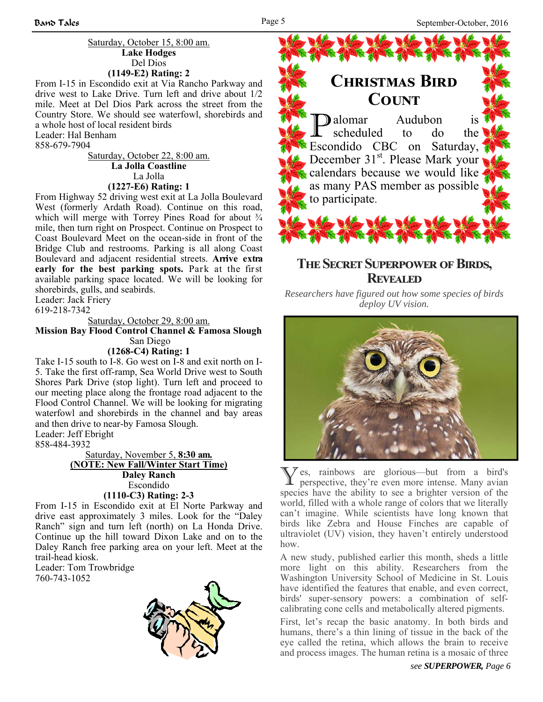#### Saturday, October 15, 8:00 am. **Lake Hodges** Del Dios **(1149-E2) Rating: 2**

From I-15 in Escondido exit at Via Rancho Parkway and drive west to Lake Drive. Turn left and drive about 1/2 mile. Meet at Del Dios Park across the street from the Country Store. We should see waterfowl, shorebirds and a whole host of local resident birds Leader: Hal Benham

858-679-7904

Saturday, October 22, 8:00 am. **La Jolla Coastline** La Jolla **(1227-E6) Rating: 1**

From Highway 52 driving west exit at La Jolla Boulevard West (formerly Ardath Road). Continue on this road, which will merge with Torrey Pines Road for about  $\frac{3}{4}$ mile, then turn right on Prospect. Continue on Prospect to Coast Boulevard Meet on the ocean-side in front of the Bridge Club and restrooms. Parking is all along Coast Boulevard and adjacent residential streets. **Arrive extra early for the best parking spots.** Park at the first available parking space located. We will be looking for shorebirds, gulls, and seabirds.

Leader: Jack Friery

619-218-7342

Saturday, October 29, 8:00 am.

**Mission Bay Flood Control Channel & Famosa Slough**  San Diego

**(1268-C4) Rating: 1**

Take I-15 south to I-8. Go west on I-8 and exit north on I-5. Take the first off-ramp, Sea World Drive west to South Shores Park Drive (stop light). Turn left and proceed to our meeting place along the frontage road adjacent to the Flood Control Channel. We will be looking for migrating waterfowl and shorebirds in the channel and bay areas and then drive to near-by Famosa Slough.

Leader: Jeff Ebright 858-484-3932

Saturday, November 5, **8:30 am. (NOTE: New Fall/Winter Start Time) Daley Ranch** Escondido **(1110-C3) Rating: 2-3**

From I-15 in Escondido exit at El Norte Parkway and drive east approximately 3 miles. Look for the "Daley Ranch" sign and turn left (north) on La Honda Drive. Continue up the hill toward Dixon Lake and on to the Daley Ranch free parking area on your left. Meet at the trail-head kiosk.

Leader: Tom Trowbridge 760-743-1052





## **THE SECRET SUPERPOWER OF BIRDS, REVEALED**

*Researchers have figured out how some species of birds deploy UV vision.* 



Y es, rainbows are glorious—but from a bird's perspective, they're even more intense. Many avian species have the ability to see a brighter version of the world, filled with a whole range of colors that we literally can't imagine. While scientists have long known that birds like Zebra and House Finches are capable of ultraviolet (UV) vision, they haven't entirely understood how.

A new study, published earlier this month, sheds a little more light on this ability. Researchers from the Washington University School of Medicine in St. Louis have identified the features that enable, and even correct, birds' super-sensory powers: a combination of selfcalibrating cone cells and metabolically altered pigments.

First, let's recap the basic anatomy. In both birds and humans, there's a thin lining of tissue in the back of the eye called the retina, which allows the brain to receive and process images. The human retina is a mosaic of three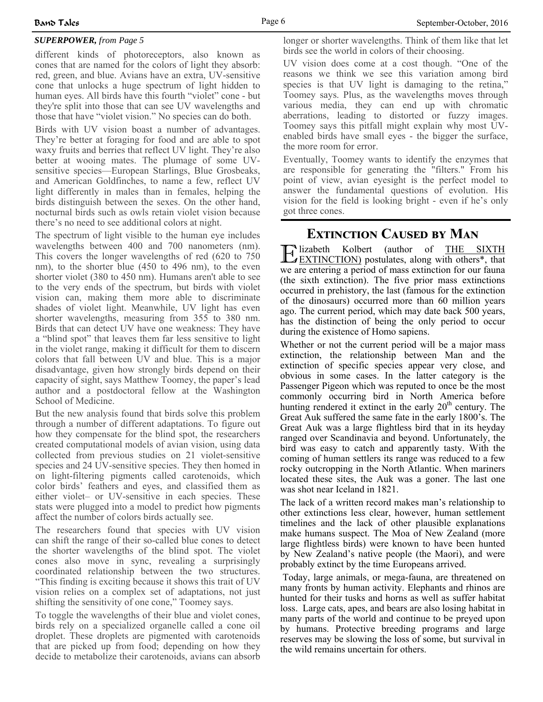### *SUPERPOWER, from Page 5*

different kinds of photoreceptors, also known as cones that are named for the colors of light they absorb: red, green, and blue. Avians have an extra, UV-sensitive cone that unlocks a huge spectrum of light hidden to human eyes. All birds have this fourth "violet" cone - but they're split into those that can see UV wavelengths and those that have "violet vision." No species can do both.

Birds with UV vision boast a number of advantages. They're better at foraging for food and are able to spot waxy fruits and berries that reflect UV light. They're also better at wooing mates. The plumage of some UVsensitive species—European Starlings, Blue Grosbeaks, and American Goldfinches, to name a few, reflect UV light differently in males than in females, helping the birds distinguish between the sexes. On the other hand, nocturnal birds such as owls retain violet vision because there's no need to see additional colors at night.

The spectrum of light visible to the human eye includes wavelengths between 400 and 700 nanometers (nm). This covers the longer wavelengths of red (620 to 750 nm), to the shorter blue (450 to 496 nm), to the even shorter violet (380 to 450 nm). Humans aren't able to see to the very ends of the spectrum, but birds with violet vision can, making them more able to discriminate shades of violet light. Meanwhile, UV light has even shorter wavelengths, measuring from 355 to 380 nm. Birds that can detect UV have one weakness: They have a "blind spot" that leaves them far less sensitive to light in the violet range, making it difficult for them to discern colors that fall between UV and blue. This is a major disadvantage, given how strongly birds depend on their capacity of sight, says Matthew Toomey, the paper's lead author and a postdoctoral fellow at the Washington School of Medicine.

But the new analysis found that birds solve this problem through a number of different adaptations. To figure out how they compensate for the blind spot, the researchers created computational models of avian vision, using data collected from previous studies on 21 violet-sensitive species and 24 UV-sensitive species. They then homed in on light-filtering pigments called carotenoids, which color birds' feathers and eyes, and classified them as either violet– or UV-sensitive in each species. These stats were plugged into a model to predict how pigments affect the number of colors birds actually see.

The researchers found that species with UV vision can shift the range of their so-called blue cones to detect the shorter wavelengths of the blind spot. The violet cones also move in sync, revealing a surprisingly coordinated relationship between the two structures. "This finding is exciting because it shows this trait of UV vision relies on a complex set of adaptations, not just shifting the sensitivity of one cone," Toomey says.

To toggle the wavelengths of their blue and violet cones, birds rely on a specialized organelle called a cone oil droplet. These droplets are pigmented with carotenoids that are picked up from food; depending on how they decide to metabolize their carotenoids, avians can absorb

longer or shorter wavelengths. Think of them like that let birds see the world in colors of their choosing.

UV vision does come at a cost though. "One of the reasons we think we see this variation among bird species is that UV light is damaging to the retina," Toomey says. Plus, as the wavelengths moves through various media, they can end up with chromatic aberrations, leading to distorted or fuzzy images. Toomey says this pitfall might explain why most UVenabled birds have small eyes - the bigger the surface, the more room for error.

Eventually, Toomey wants to identify the enzymes that are responsible for generating the "filters." From his point of view, avian eyesight is the perfect model to answer the fundamental questions of evolution. His vision for the field is looking bright - even if he's only got three cones.

**EXTINCTION CAUSED BY MAN**<br> **F** lizabeth Kolbert (author of THE S  $\frac{\text{E}}{\text{EXTNCTION}}}$  postulates, along with others\*, that we are entering a period of mass extinction for our fauna (the sixth extinction). The five prior mass extinctions occurred in prehistory, the last (famous for the extinction of the dinosaurs) occurred more than 60 million years ago. The current period, which may date back 500 years, has the distinction of being the only period to occur during the existence of Homo sapiens.

Whether or not the current period will be a major mass extinction, the relationship between Man and the extinction of specific species appear very close, and obvious in some cases. In the latter category is the Passenger Pigeon which was reputed to once be the most commonly occurring bird in North America before hunting rendered it extinct in the early  $20<sup>th</sup>$  century. The Great Auk suffered the same fate in the early 1800's. The Great Auk was a large flightless bird that in its heyday ranged over Scandinavia and beyond. Unfortunately, the bird was easy to catch and apparently tasty. With the coming of human settlers its range was reduced to a few rocky outcropping in the North Atlantic. When mariners located these sites, the Auk was a goner. The last one was shot near Iceland in 1821.

The lack of a written record makes man's relationship to other extinctions less clear, however, human settlement timelines and the lack of other plausible explanations make humans suspect. The Moa of New Zealand (more large flightless birds) were known to have been hunted by New Zealand's native people (the Maori), and were probably extinct by the time Europeans arrived.

 Today, large animals, or mega-fauna, are threatened on many fronts by human activity. Elephants and rhinos are hunted for their tusks and horns as well as suffer habitat loss. Large cats, apes, and bears are also losing habitat in many parts of the world and continue to be preyed upon by humans. Protective breeding programs and large reserves may be slowing the loss of some, but survival in the wild remains uncertain for others.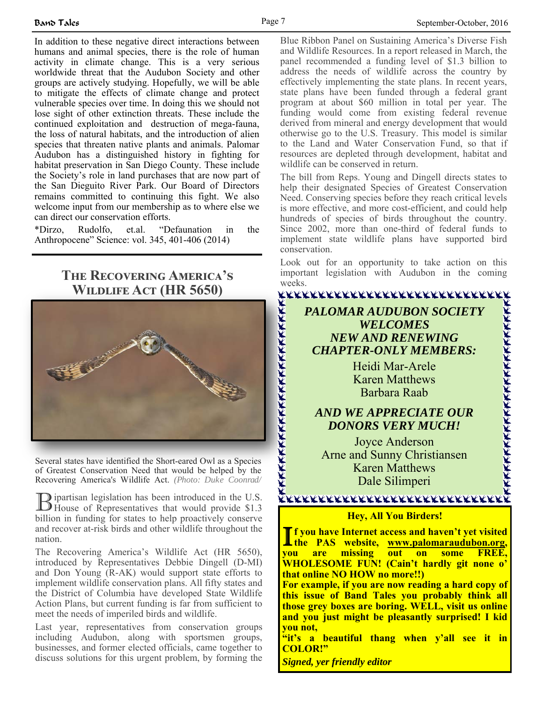In addition to these negative direct interactions between humans and animal species, there is the role of human activity in climate change. This is a very serious worldwide threat that the Audubon Society and other groups are actively studying. Hopefully, we will be able to mitigate the effects of climate change and protect vulnerable species over time. In doing this we should not lose sight of other extinction threats. These include the continued exploitation and destruction of mega-fauna, the loss of natural habitats, and the introduction of alien species that threaten native plants and animals. Palomar Audubon has a distinguished history in fighting for habitat preservation in San Diego County. These include the Society's role in land purchases that are now part of the San Dieguito River Park. Our Board of Directors remains committed to continuing this fight. We also welcome input from our membership as to where else we can direct our conservation efforts.

\*Dirzo, Rudolfo, et.al. "Defaunation in the Anthropocene" Science: vol. 345, 401-406 (2014)

## **THE RECOVERING AMERICA'S WILDLIFE ACT (HR 5650)**



Several states have identified the Short-eared Owl as a Species of Greatest Conservation Need that would be helped by the Recovering America's Wildlife Act. *(Photo: Duke Coonrad/*

**B** ipartisan legislation has been introduced in the U.S.<br>House of Representatives that would provide \$1.3 billion in funding for states to help proactively conserve and recover at-risk birds and other wildlife throughout the nation.

The Recovering America's Wildlife Act (HR 5650), introduced by Representatives Debbie Dingell (D-MI) and Don Young (R-AK) would support state efforts to implement wildlife conservation plans. All fifty states and the District of Columbia have developed State Wildlife Action Plans, but current funding is far from sufficient to meet the needs of imperiled birds and wildlife.

Last year, representatives from conservation groups including Audubon, along with sportsmen groups, businesses, and former elected officials, came together to discuss solutions for this urgent problem, by forming the Blue Ribbon Panel on Sustaining America's Diverse Fish and Wildlife Resources. In a report released in March, the panel recommended a funding level of \$1.3 billion to address the needs of wildlife across the country by effectively implementing the state plans. In recent years, state plans have been funded through a federal grant program at about \$60 million in total per year. The funding would come from existing federal revenue derived from mineral and energy development that would otherwise go to the U.S. Treasury. This model is similar to the Land and Water Conservation Fund, so that if resources are depleted through development, habitat and wildlife can be conserved in return.

The bill from Reps. Young and Dingell directs states to help their designated Species of Greatest Conservation Need. Conserving species before they reach critical levels is more effective, and more cost-efficient, and could help hundreds of species of birds throughout the country. Since 2002, more than one-third of federal funds to implement state wildlife plans have supported bird conservation.

Look out for an opportunity to take action on this important legislation with Audubon in the coming weeks.

## *PALOMAR AUDUBON SOCIETY WELCOMES NEW AND RENEWING CHAPTER-ONLY MEMBERS:*

Heidi Mar-Arele Karen Matthews Barbara Raab

## *AND WE APPRECIATE OUR DONORS VERY MUCH!*

Joyce Anderson Arne and Sunny Christiansen Karen Matthews Dale Silimperi

#### <u>KKKKKRKRKKKKKKKKKKKRKKRKKKKKKK</u>

#### **Hey, All You Birders!**

I **f you have Internet access and haven't yet visited the PAS website, www.palomaraudubon.org, you are missing out on some FREE, WHOLESOME FUN! (Cain't hardly git none o' that online NO HOW no more!!)** 

**For example, if you are now reading a hard copy of this issue of Band Tales you probably think all those grey boxes are boring. WELL, visit us online and you just might be pleasantly surprised! I kid you not,** 

**"it's a beautiful thang when y'all see it in COLOR!"** 

*Signed, yer friendly editor*